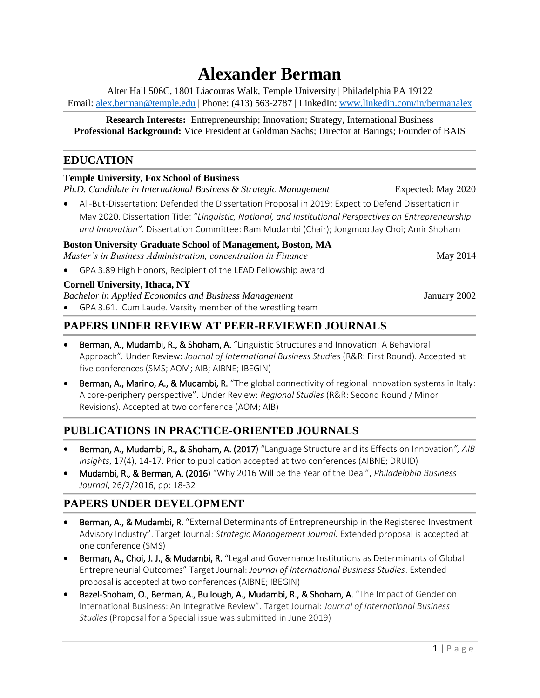# **Alexander Berman**

Alter Hall 506C, 1801 Liacouras Walk, Temple University | Philadelphia PA 19122 Email[: alex.berman@temple.edu](mailto:alex.berman@temple.edu) | Phone: (413) 563-2787 | LinkedIn: [www.linkedin.com/in/bermanalex](http://www.linkedin.com/in/bermanalex)

**Research Interests:** Entrepreneurship; Innovation; Strategy, International Business **Professional Background:** Vice President at Goldman Sachs; Director at Barings; Founder of BAIS

#### **EDUCATION**

#### **Temple University, Fox School of Business**

*Ph.D. Candidate in International Business & Strategic Management*Expected: May 2020

• All-But-Dissertation: Defended the Dissertation Proposal in 2019; Expect to Defend Dissertation in May 2020. Dissertation Title: "*Linguistic, National, and Institutional Perspectives on Entrepreneurship and Innovation".* Dissertation Committee: Ram Mudambi (Chair); Jongmoo Jay Choi; Amir Shoham

#### **Boston University Graduate School of Management, Boston, MA** *Master's in Business Administration, concentration in Finance* May 2014

• GPA 3.89 High Honors, Recipient of the LEAD Fellowship award

#### **Cornell University, Ithaca, NY**

*Bachelor in Applied Economics and Business Management* January 2002

• GPA 3.61. Cum Laude. Varsity member of the wrestling team

### **PAPERS UNDER REVIEW AT PEER-REVIEWED JOURNALS**

- Berman, A., Mudambi, R., & Shoham, A. "Linguistic Structures and Innovation: A Behavioral Approach"*.* Under Review: *Journal of International Business Studies* (R&R: First Round). Accepted at five conferences (SMS; AOM; AIB; AIBNE; IBEGIN)
- **Berman, A., Marino, A., & Mudambi, R.** "The global connectivity of regional innovation systems in Italy: A core-periphery perspective". Under Review: *Regional Studies* (R&R: Second Round / Minor Revisions). Accepted at two conference (AOM; AIB)

# **PUBLICATIONS IN PRACTICE-ORIENTED JOURNALS**

- Berman, A., Mudambi, R., & Shoham, A. (2017) "Language Structure and its Effects on Innovation*", AIB Insights*, 17(4), 14-17. Prior to publication accepted at two conferences (AIBNE; DRUID)
- Mudambi, R., & Berman, A. (2016) "Why 2016 Will be the Year of the Deal", *Philadelphia Business Journal*, 26/2/2016, pp: 18-32

# **PAPERS UNDER DEVELOPMENT**

- Berman, A., & Mudambi, R. "External Determinants of Entrepreneurship in the Registered Investment Advisory Industry". Target Journal*: Strategic Management Journal.* Extended proposal is accepted at one conference (SMS)
- Berman, A., Choi, J. J., & Mudambi, R. "Legal and Governance Institutions as Determinants of Global Entrepreneurial Outcomes" Target Journal: *Journal of International Business Studies*. Extended proposal is accepted at two conferences (AIBNE; IBEGIN)
- Bazel-Shoham, O., Berman, A., Bullough, A., Mudambi, R., & Shoham, A. "The Impact of Gender on International Business: An Integrative Review". Target Journal: *Journal of International Business Studies* (Proposal for a Special issue was submitted in June 2019)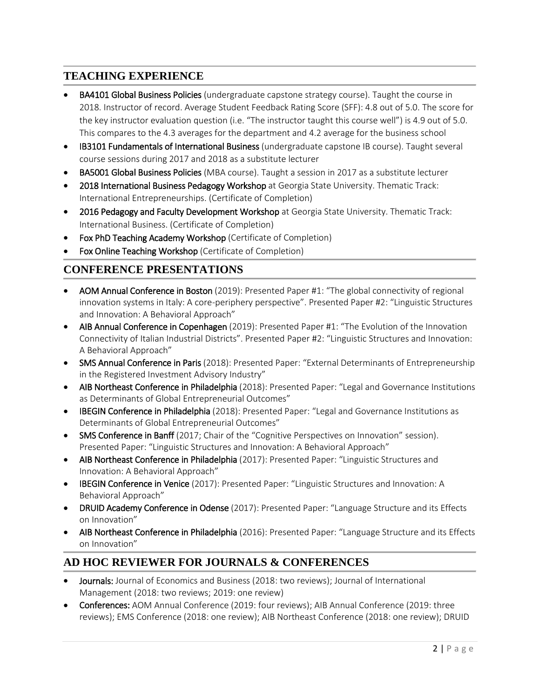## **TEACHING EXPERIENCE**

- **BA4101 Global Business Policies** (undergraduate capstone strategy course). Taught the course in 2018. Instructor of record. Average Student Feedback Rating Score (SFF): 4.8 out of 5.0. The score for the key instructor evaluation question (i.e. "The instructor taught this course well") is 4.9 out of 5.0. This compares to the 4.3 averages for the department and 4.2 average for the business school
- IB3101 Fundamentals of International Business (undergraduate capstone IB course). Taught several course sessions during 2017 and 2018 as a substitute lecturer
- BA5001 Global Business Policies (MBA course). Taught a session in 2017 as a substitute lecturer
- 2018 International Business Pedagogy Workshop at Georgia State University. Thematic Track: International Entrepreneurships. (Certificate of Completion)
- 2016 Pedagogy and Faculty Development Workshop at Georgia State University. Thematic Track: International Business. (Certificate of Completion)
- Fox PhD Teaching Academy Workshop (Certificate of Completion)
- Fox Online Teaching Workshop (Certificate of Completion)

## **CONFERENCE PRESENTATIONS**

- AOM Annual Conference in Boston (2019): Presented Paper #1: "The global connectivity of regional innovation systems in Italy: A core-periphery perspective". Presented Paper #2: "Linguistic Structures and Innovation: A Behavioral Approach"
- AIB Annual Conference in Copenhagen (2019): Presented Paper #1: "The Evolution of the Innovation Connectivity of Italian Industrial Districts". Presented Paper #2: "Linguistic Structures and Innovation: A Behavioral Approach"
- SMS Annual Conference in Paris (2018): Presented Paper: "External Determinants of Entrepreneurship in the Registered Investment Advisory Industry"
- AIB Northeast Conference in Philadelphia (2018): Presented Paper: "Legal and Governance Institutions as Determinants of Global Entrepreneurial Outcomes"
- IBEGIN Conference in Philadelphia (2018): Presented Paper: "Legal and Governance Institutions as Determinants of Global Entrepreneurial Outcomes"
- SMS Conference in Banff (2017; Chair of the "Cognitive Perspectives on Innovation" session). Presented Paper: "Linguistic Structures and Innovation: A Behavioral Approach"
- AIB Northeast Conference in Philadelphia (2017): Presented Paper: "Linguistic Structures and Innovation: A Behavioral Approach"
- IBEGIN Conference in Venice (2017): Presented Paper: "Linguistic Structures and Innovation: A Behavioral Approach"
- DRUID Academy Conference in Odense (2017): Presented Paper: "Language Structure and its Effects on Innovation"
- AIB Northeast Conference in Philadelphia (2016): Presented Paper: "Language Structure and its Effects on Innovation"

### **AD HOC REVIEWER FOR JOURNALS & CONFERENCES**

- Journals: Journal of Economics and Business (2018: two reviews); Journal of International Management (2018: two reviews; 2019: one review)
- Conferences: AOM Annual Conference (2019: four reviews); AIB Annual Conference (2019: three reviews); EMS Conference (2018: one review); AIB Northeast Conference (2018: one review); DRUID